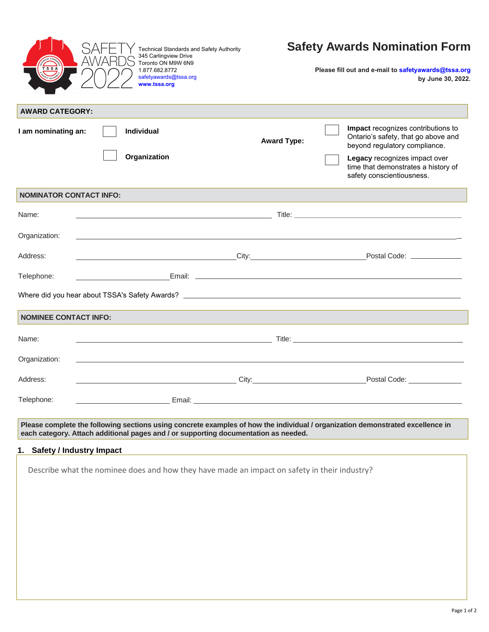|                                | 1.877.682.8772<br>safetyawards@tssa.org<br>www.tssa.org                                                                                                                                                                              |                                                                                                                                                                                                                                      | Please fill out and e-mail to safetyawards@tssa.org<br>by June 30, 2022.                                                                                                                                                                                                                                                                                                                    |
|--------------------------------|--------------------------------------------------------------------------------------------------------------------------------------------------------------------------------------------------------------------------------------|--------------------------------------------------------------------------------------------------------------------------------------------------------------------------------------------------------------------------------------|---------------------------------------------------------------------------------------------------------------------------------------------------------------------------------------------------------------------------------------------------------------------------------------------------------------------------------------------------------------------------------------------|
| <b>AWARD CATEGORY:</b>         |                                                                                                                                                                                                                                      |                                                                                                                                                                                                                                      |                                                                                                                                                                                                                                                                                                                                                                                             |
| I am nominating an:            | <b>Individual</b>                                                                                                                                                                                                                    | <b>Award Type:</b>                                                                                                                                                                                                                   | Impact recognizes contributions to<br>Ontario's safety, that go above and<br>beyond regulatory compliance.                                                                                                                                                                                                                                                                                  |
|                                | Organization                                                                                                                                                                                                                         |                                                                                                                                                                                                                                      | Legacy recognizes impact over<br>time that demonstrates a history of<br>safety conscientiousness.                                                                                                                                                                                                                                                                                           |
| <b>NOMINATOR CONTACT INFO:</b> |                                                                                                                                                                                                                                      |                                                                                                                                                                                                                                      |                                                                                                                                                                                                                                                                                                                                                                                             |
| Name:                          |                                                                                                                                                                                                                                      |                                                                                                                                                                                                                                      | $\blacksquare$ and $\blacksquare$ and $\blacksquare$ and $\blacksquare$ and $\blacksquare$ and $\blacksquare$ and $\blacksquare$ and $\blacksquare$ and $\blacksquare$ and $\blacksquare$ and $\blacksquare$ and $\blacksquare$ and $\blacksquare$ and $\blacksquare$ and $\blacksquare$ and $\blacksquare$ and $\blacksquare$ and $\blacksquare$ and $\blacksquare$ and $\blacksquare$ and |
| Organization:                  |                                                                                                                                                                                                                                      |                                                                                                                                                                                                                                      |                                                                                                                                                                                                                                                                                                                                                                                             |
| Address:                       | <u>City: City: City: City: City: City: City: City: City: City: City: City: City: City: City: City: City: City: City: City: City: City: City: City: City: City: City: City: City: City: City: City: City: City: City: City: City:</u> |                                                                                                                                                                                                                                      | Postal Code: ________________                                                                                                                                                                                                                                                                                                                                                               |
| Telephone:                     |                                                                                                                                                                                                                                      |                                                                                                                                                                                                                                      |                                                                                                                                                                                                                                                                                                                                                                                             |
|                                |                                                                                                                                                                                                                                      |                                                                                                                                                                                                                                      |                                                                                                                                                                                                                                                                                                                                                                                             |
|                                |                                                                                                                                                                                                                                      |                                                                                                                                                                                                                                      |                                                                                                                                                                                                                                                                                                                                                                                             |
| <b>NOMINEE CONTACT INFO:</b>   |                                                                                                                                                                                                                                      |                                                                                                                                                                                                                                      |                                                                                                                                                                                                                                                                                                                                                                                             |
| Name:                          |                                                                                                                                                                                                                                      |                                                                                                                                                                                                                                      |                                                                                                                                                                                                                                                                                                                                                                                             |
| Organization:                  |                                                                                                                                                                                                                                      |                                                                                                                                                                                                                                      |                                                                                                                                                                                                                                                                                                                                                                                             |
| Address:                       |                                                                                                                                                                                                                                      |                                                                                                                                                                                                                                      | Postal Code: North States and States and States and States and States and States and States and States and States and States and States and States and States and States and States and States and States and States and State                                                                                                                                                              |
| Telephone:                     |                                                                                                                                                                                                                                      | Email: <u>Andreas Andreas Andreas Andreas Andreas Andreas Andreas Andreas Andreas Andreas Andreas Andreas Andreas Andreas Andreas Andreas Andreas Andreas Andreas Andreas Andreas Andreas Andreas Andreas Andreas Andreas Andrea</u> |                                                                                                                                                                                                                                                                                                                                                                                             |
|                                |                                                                                                                                                                                                                                      |                                                                                                                                                                                                                                      |                                                                                                                                                                                                                                                                                                                                                                                             |
|                                | each category. Attach additional pages and / or supporting documentation as needed.                                                                                                                                                  |                                                                                                                                                                                                                                      | Please complete the following sections using concrete examples of how the individual / organization demonstrated excellence in                                                                                                                                                                                                                                                              |
|                                |                                                                                                                                                                                                                                      |                                                                                                                                                                                                                                      |                                                                                                                                                                                                                                                                                                                                                                                             |
| 1. Safety / Industry Impact    |                                                                                                                                                                                                                                      |                                                                                                                                                                                                                                      |                                                                                                                                                                                                                                                                                                                                                                                             |
|                                |                                                                                                                                                                                                                                      |                                                                                                                                                                                                                                      |                                                                                                                                                                                                                                                                                                                                                                                             |
|                                | Describe what the nominee does and how they have made an impact on safety in their industry?                                                                                                                                         |                                                                                                                                                                                                                                      |                                                                                                                                                                                                                                                                                                                                                                                             |
|                                |                                                                                                                                                                                                                                      |                                                                                                                                                                                                                                      |                                                                                                                                                                                                                                                                                                                                                                                             |
|                                |                                                                                                                                                                                                                                      |                                                                                                                                                                                                                                      |                                                                                                                                                                                                                                                                                                                                                                                             |
|                                |                                                                                                                                                                                                                                      |                                                                                                                                                                                                                                      |                                                                                                                                                                                                                                                                                                                                                                                             |